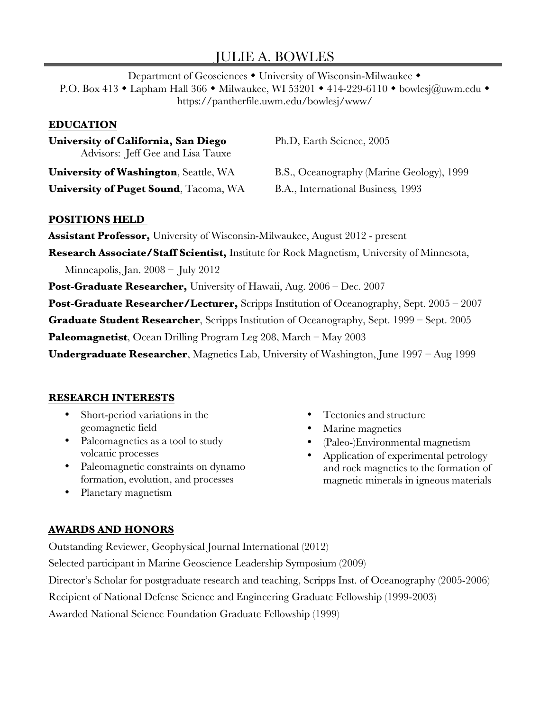# JULIE A. BOWLES

Department of Geosciences • University of Wisconsin-Milwaukee • P.O. Box 413 • Lapham Hall 366 • Milwaukee, WI 53201 • 414-229-6110 • bowlesj@uwm.edu • https://pantherfile.uwm.edu/bowlesj/www/

### **EDUCATION**

**University of California, San Diego** Ph.D, Earth Science, 2005 Advisors: Jeff Gee and Lisa Tauxe

**University of Puget Sound**, Tacoma, WA B.A., International Business*,* 1993

**University of Washington**, Seattle, WA B.S., Oceanography (Marine Geology), 1999

# **POSITIONS HELD**

**Assistant Professor,** University of Wisconsin-Milwaukee, August 2012 - present **Research Associate/Staff Scientist,** Institute for Rock Magnetism, University of Minnesota, Minneapolis, Jan. 2008 – July 2012 **Post-Graduate Researcher,** University of Hawaii, Aug. 2006 – Dec. 2007 **Post-Graduate Researcher/Lecturer,** Scripps Institution of Oceanography, Sept. 2005 – 2007 **Graduate Student Researcher**, Scripps Institution of Oceanography, Sept. 1999 – Sept. 2005 **Paleomagnetist**, Ocean Drilling Program Leg 208, March – May 2003

**Undergraduate Researcher**, Magnetics Lab, University of Washington, June 1997 – Aug 1999

# **RESEARCH INTERESTS**

- Short-period variations in the geomagnetic field
- Paleomagnetics as a tool to study volcanic processes
- Paleomagnetic constraints on dynamo formation, evolution, and processes
- Planetary magnetism
- Tectonics and structure
- Marine magnetics
- (Paleo-)Environmental magnetism
- Application of experimental petrology and rock magnetics to the formation of magnetic minerals in igneous materials

# **AWARDS AND HONORS**

Outstanding Reviewer, Geophysical Journal International (2012)

Selected participant in Marine Geoscience Leadership Symposium (2009)

Director's Scholar for postgraduate research and teaching, Scripps Inst. of Oceanography (2005-2006)

Recipient of National Defense Science and Engineering Graduate Fellowship (1999-2003)

Awarded National Science Foundation Graduate Fellowship (1999)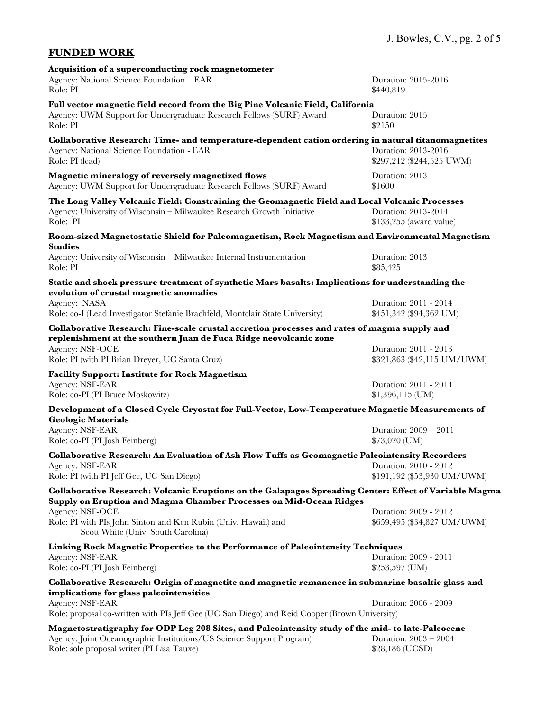### **FUNDED WORK**

| Acquisition of a superconducting rock magnetometer<br>Agency: National Science Foundation – EAR                                                                                       | Duration: 2015-2016                                  |
|---------------------------------------------------------------------------------------------------------------------------------------------------------------------------------------|------------------------------------------------------|
| Role: PI                                                                                                                                                                              | \$440,819                                            |
| Full vector magnetic field record from the Big Pine Volcanic Field, California<br>Agency: UWM Support for Undergraduate Research Fellows (SURF) Award<br>Role: PI                     | Duration: 2015<br>\$2150                             |
| Collaborative Research: Time- and temperature-dependent cation ordering in natural titanomagnetites<br>Agency: National Science Foundation - EAR<br>Role: PI (lead)                   | Duration: 2013-2016<br>\$297,212 (\$244,525 UWM)     |
| Magnetic mineralogy of reversely magnetized flows<br>Agency: UWM Support for Undergraduate Research Fellows (SURF) Award                                                              | Duration: 2013<br>\$1600                             |
| The Long Valley Volcanic Field: Constraining the Geomagnetic Field and Local Volcanic Processes<br>Agency: University of Wisconsin - Milwaukee Research Growth Initiative<br>Role: PI | Duration: 2013-2014<br>\$133,255 (award value)       |
| Room-sized Magnetostatic Shield for Paleomagnetism, Rock Magnetism and Environmental Magnetism<br><b>Studies</b>                                                                      |                                                      |
| Agency: University of Wisconsin - Milwaukee Internal Instrumentation<br>Role: PI                                                                                                      | Duration: 2013<br>\$85,425                           |
| Static and shock pressure treatment of synthetic Mars basalts: Implications for understanding the<br>evolution of crustal magnetic anomalies                                          |                                                      |
| Agency: NASA<br>Role: co-I (Lead Investigator Stefanie Brachfeld, Montclair State University)                                                                                         | Duration: 2011 - 2014<br>\$451,342 (\$94,362 UM)     |
| Collaborative Research: Fine-scale crustal accretion processes and rates of magma supply and<br>replenishment at the southern Juan de Fuca Ridge neovolcanic zone                     |                                                      |
| Agency: NSF-OCE<br>Role: PI (with PI Brian Dreyer, UC Santa Cruz)                                                                                                                     | Duration: 2011 - 2013<br>\$321,863 (\$42,115 UM/UWM) |
| <b>Facility Support: Institute for Rock Magnetism</b>                                                                                                                                 |                                                      |
| Agency: NSF-EAR<br>Role: co-PI (PI Bruce Moskowitz)                                                                                                                                   | Duration: 2011 - 2014<br>$$1,396,115$ (UM)           |
| Development of a Closed Cycle Cryostat for Full-Vector, Low-Temperature Magnetic Measurements of                                                                                      |                                                      |
| <b>Geologic Materials</b><br>Agency: NSF-EAR<br>Role: co-PI (PI Josh Feinberg)                                                                                                        | Duration: 2009 - 2011<br>\$73,020 (UM)               |
| Collaborative Research: An Evaluation of Ash Flow Tuffs as Geomagnetic Paleointensity Recorders                                                                                       |                                                      |
| Agency: NSF-EAR<br>Role: PI (with PI Jeff Gee, UC San Diego)                                                                                                                          | Duration: 2010 - 2012<br>\$191,192 (\$53,930 UM/UWM) |
| Collaborative Research: Volcanic Eruptions on the Galapagos Spreading Center: Effect of Variable Magma<br>Supply on Eruption and Magma Chamber Processes on Mid-Ocean Ridges          |                                                      |
| Agency: NSF-OCE<br>Role: PI with PIs John Sinton and Ken Rubin (Univ. Hawaii) and<br>Scott White (Univ. South Carolina)                                                               | Duration: 2009 - 2012<br>\$659,495 (\$34,827 UM/UWM) |
| Linking Rock Magnetic Properties to the Performance of Paleointensity Techniques                                                                                                      |                                                      |
| Agency: NSF-EAR<br>Role: co-PI (PI Josh Feinberg)                                                                                                                                     | Duration: 2009 - 2011<br>\$253,597 (UM)              |
| Collaborative Research: Origin of magnetite and magnetic remanence in submarine basaltic glass and                                                                                    |                                                      |
| implications for glass paleointensities<br>Agency: NSF-EAR                                                                                                                            | Duration: 2006 - 2009                                |
| Role: proposal co-written with PIs Jeff Gee (UC San Diego) and Reid Cooper (Brown University)                                                                                         |                                                      |
| Magnetostratigraphy for ODP Leg 208 Sites, and Paleointensity study of the mid- to late-Paleocene                                                                                     |                                                      |
| Agency: Joint Oceanographic Institutions/US Science Support Program)<br>Role: sole proposal writer (PI Lisa Tauxe)                                                                    | Duration: $2003 - 2004$<br>\$28,186 (UCSD)           |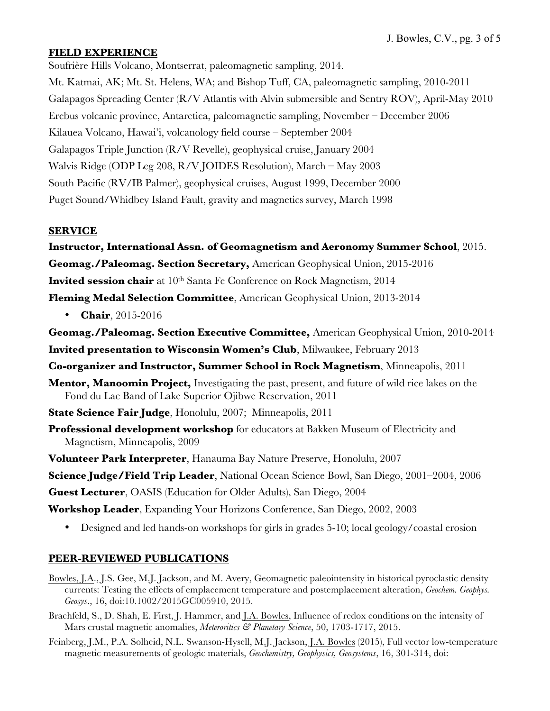### **FIELD EXPERIENCE**

Soufrière Hills Volcano, Montserrat, paleomagnetic sampling, 2014. Mt. Katmai, AK; Mt. St. Helens, WA; and Bishop Tuff, CA, paleomagnetic sampling, 2010-2011 Galapagos Spreading Center (R/V Atlantis with Alvin submersible and Sentry ROV), April-May 2010 Erebus volcanic province, Antarctica, paleomagnetic sampling, November – December 2006 Kilauea Volcano, Hawai'i, volcanology field course – September 2004 Galapagos Triple Junction (R/V Revelle), geophysical cruise, January 2004 Walvis Ridge (ODP Leg 208, R/V JOIDES Resolution), March – May 2003 South Pacific (RV/IB Palmer), geophysical cruises, August 1999, December 2000 Puget Sound/Whidbey Island Fault, gravity and magnetics survey, March 1998

#### **SERVICE**

**Instructor, International Assn. of Geomagnetism and Aeronomy Summer School**, 2015. **Geomag./Paleomag. Section Secretary,** American Geophysical Union, 2015-2016 **Invited session chair** at 10<sup>th</sup> Santa Fe Conference on Rock Magnetism, 2014 **Fleming Medal Selection Committee**, American Geophysical Union, 2013-2014

• **Chair**, 2015-2016

**Geomag./Paleomag. Section Executive Committee,** American Geophysical Union, 2010-2014 **Invited presentation to Wisconsin Women's Club**, Milwaukee, February 2013

- **Co-organizer and Instructor, Summer School in Rock Magnetism**, Minneapolis, 2011
- **Mentor, Manoomin Project,** Investigating the past, present, and future of wild rice lakes on the Fond du Lac Band of Lake Superior Ojibwe Reservation, 2011
- **State Science Fair Judge**, Honolulu, 2007; Minneapolis, 2011
- **Professional development workshop** for educators at Bakken Museum of Electricity and Magnetism, Minneapolis, 2009
- **Volunteer Park Interpreter**, Hanauma Bay Nature Preserve, Honolulu, 2007
- **Science Judge/Field Trip Leader**, National Ocean Science Bowl, San Diego, 2001–2004, 2006

**Guest Lecturer**, OASIS (Education for Older Adults), San Diego, 2004

**Workshop Leader**, Expanding Your Horizons Conference, San Diego, 2002, 2003

• Designed and led hands-on workshops for girls in grades 5-10; local geology/coastal erosion

#### **PEER-REVIEWED PUBLICATIONS**

- Bowles, J.A., J.S. Gee, M.J. Jackson, and M. Avery, Geomagnetic paleointensity in historical pyroclastic density currents: Testing the effects of emplacement temperature and postemplacement alteration, *Geochem. Geophys. Geosys*., 16, doi:10.1002/2015GC005910, 2015.
- Brachfeld, S., D. Shah, E. First, J. Hammer, and J.A. Bowles, Influence of redox conditions on the intensity of Mars crustal magnetic anomalies, *Meteroritics & Planetary Science*, 50, 1703-1717, 2015.
- Feinberg, J.M., P.A. Solheid, N.L. Swanson-Hysell, M.J. Jackson, J.A. Bowles (2015), Full vector low-temperature magnetic measurements of geologic materials, *Geochemistry, Geophysics, Geosystems*, 16, 301-314, doi: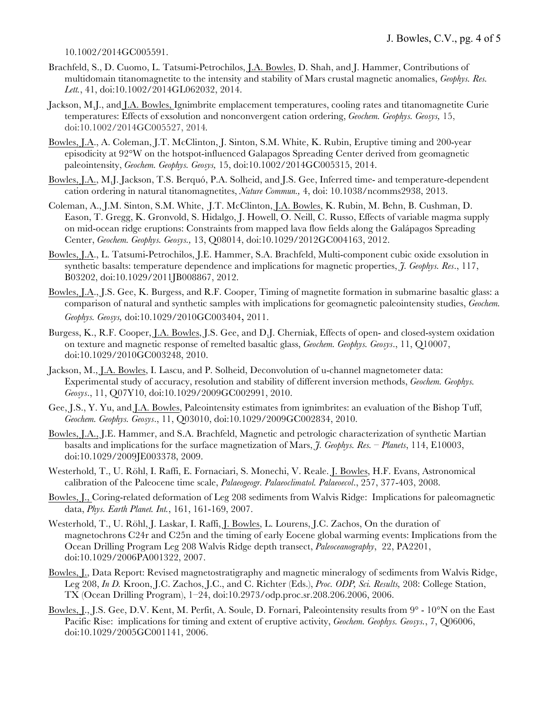#### 10.1002/2014GC005591.

- Brachfeld, S., D. Cuomo, L. Tatsumi-Petrochilos, J.A. Bowles, D. Shah, and J. Hammer, Contributions of multidomain titanomagnetite to the intensity and stability of Mars crustal magnetic anomalies, *Geophys. Res. Lett.*, 41, doi:10.1002/2014GL062032, 2014.
- Jackson, M.J., and J.A. Bowles, Ignimbrite emplacement temperatures, cooling rates and titanomagnetite Curie temperatures: Effects of exsolution and nonconvergent cation ordering, *Geochem. Geophys. Geosys,* 15, doi:10.1002/2014GC005527, 2014*.*
- Bowles, J.A., A. Coleman, J.T. McClinton, J. Sinton, S.M. White, K. Rubin, Eruptive timing and 200-year episodicity at 92°W on the hotspot-influenced Galapagos Spreading Center derived from geomagnetic paleointensity, *Geochem. Geophys. Geosys,* 15, doi:10.1002/2014GC005315, 2014.
- Bowles, J.A., M.J. Jackson, T.S. Berquó, P.A. Solheid, and J.S. Gee, Inferred time- and temperature-dependent cation ordering in natural titanomagnetites, *Nature Commun.,* 4, doi: 10.1038/ncomms2938, 2013.
- Coleman, A., J.M. Sinton, S.M. White, J.T. McClinton, J.A. Bowles, K. Rubin, M. Behn, B. Cushman, D. Eason, T. Gregg, K. Gronvold, S. Hidalgo, J. Howell, O. Neill, C. Russo, Effects of variable magma supply on mid-ocean ridge eruptions: Constraints from mapped lava flow fields along the Galápagos Spreading Center, *Geochem. Geophys. Geosys.,* 13, Q08014, doi:10.1029/2012GC004163, 2012.
- Bowles, J.A., L. Tatsumi-Petrochilos, J.E. Hammer, S.A. Brachfeld, Multi-component cubic oxide exsolution in synthetic basalts: temperature dependence and implications for magnetic properties, *J. Geophys. Res*., 117, B03202, doi:10.1029/2011JB008867, 2012.
- Bowles, J.A., J.S. Gee, K. Burgess, and R.F. Cooper, Timing of magnetite formation in submarine basaltic glass: a comparison of natural and synthetic samples with implications for geomagnetic paleointensity studies, *Geochem. Geophys. Geosys,* doi:10.1029/2010GC003404, 2011.
- Burgess, K., R.F. Cooper, J.A. Bowles, J.S. Gee, and D.J. Cherniak, Effects of open- and closed-system oxidation on texture and magnetic response of remelted basaltic glass, *Geochem. Geophys. Geosys*., 11, Q10007, doi:10.1029/2010GC003248, 2010.
- Jackson, M., J.A. Bowles, I. Lascu, and P. Solheid, Deconvolution of u-channel magnetometer data: Experimental study of accuracy, resolution and stability of different inversion methods, *Geochem. Geophys. Geosys*., 11, Q07Y10, doi:10.1029/2009GC002991, 2010.
- Gee, J.S., Y. Yu, and J.A. Bowles, Paleointensity estimates from ignimbrites: an evaluation of the Bishop Tuff, *Geochem. Geophys. Geosys*., 11, Q03010, doi:10.1029/2009GC002834, 2010.
- Bowles, J.A., J.E. Hammer, and S.A. Brachfeld, Magnetic and petrologic characterization of synthetic Martian basalts and implications for the surface magnetization of Mars, *J. Geophys. Res. – Planets*, 114, E10003, doi:10.1029/2009JE003378, 2009.
- Westerhold, T., U. Röhl, I. Raffi, E. Fornaciari, S. Monechi, V. Reale. J. Bowles, H.F. Evans, Astronomical calibration of the Paleocene time scale, *Palaeogeogr. Palaeoclimatol. Palaeoecol*., 257, 377-403, 2008.
- Bowles, J., Coring-related deformation of Leg 208 sediments from Walvis Ridge: Implications for paleomagnetic data, *Phys. Earth Planet. Int.*, 161, 161-169, 2007.
- Westerhold, T., U. Röhl, J. Laskar, I. Raffi, J. Bowles, L. Lourens, J.C. Zachos, On the duration of magnetochrons C24r and C25n and the timing of early Eocene global warming events: Implications from the Ocean Drilling Program Leg 208 Walvis Ridge depth transect, *Paleoceanography*, 22, PA2201, doi:10.1029/2006PA001322, 2007.
- Bowles, J., Data Report: Revised magnetostratigraphy and magnetic mineralogy of sediments from Walvis Ridge, Leg 208, *In D.* Kroon, J.C. Zachos, J.C., and C. Richter (Eds.), *Proc. ODP, Sci. Results,* 208: College Station, TX (Ocean Drilling Program), 1–24, doi:10.2973/odp.proc.sr.208.206.2006, 2006.
- Bowles, J., J.S. Gee, D.V. Kent, M. Perfit, A. Soule, D. Fornari, Paleointensity results from 9° 10°N on the East Pacific Rise: implications for timing and extent of eruptive activity, *Geochem. Geophys. Geosys.*, 7, Q06006, doi:10.1029/2005GC001141, 2006.